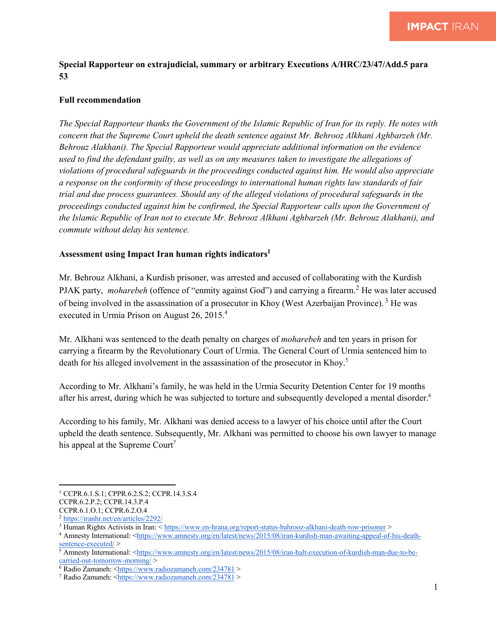## **Special Rapporteur on extrajudicial, summary or arbitrary Executions A/HRC/23/47/Add.5 para 53**

## **Full recommendation**

*The Special Rapporteur thanks the Government of the Islamic Republic of Iran for its reply. He notes with concern that the Supreme Court upheld the death sentence against Mr. Behrooz Alkhani Aghbarzeh (Mr. Behrouz Alakhani). The Special Rapporteur would appreciate additional information on the evidence used to find the defendant guilty, as well as on any measures taken to investigate the allegations of violations of procedural safeguards in the proceedings conducted against him. He would also appreciate a response on the conformity of these proceedings to international human rights law standards of fair trial and due process guarantees. Should any of the alleged violations of procedural safeguards in the proceedings conducted against him be confirmed, the Special Rapporteur calls upon the Government of the Islamic Republic of Iran not to execute Mr. Behrooz Alkhani Aghbarzeh (Mr. Behrouz Alakhani), and commute without delay his sentence.* 

## **Assessment using Impact Iran human rights indicators1**

Mr. Behrouz Alkhani, a Kurdish prisoner, was arrested and accused of collaborating with the Kurdish PJAK party, *moharebeh* (offence of "enmity against God") and carrying a firearm.<sup>2</sup> He was later accused of being involved in the assassination of a prosecutor in Khoy (West Azerbaijan Province). <sup>3</sup> He was executed in Urmia Prison on August 26, 2015.<sup>4</sup>

Mr. Alkhani was sentenced to the death penalty on charges of *moharebeh* and ten years in prison for carrying a firearm by the Revolutionary Court of Urmia. The General Court of Urmia sentenced him to death for his alleged involvement in the assassination of the prosecutor in Khoy.<sup>5</sup>

According to Mr. Alkhani's family, he was held in the Urmia Security Detention Center for 19 months after his arrest, during which he was subjected to torture and subsequently developed a mental disorder.<sup>6</sup>

According to his family, Mr. Alkhani was denied access to a lawyer of his choice until after the Court upheld the death sentence. Subsequently, Mr. Alkhani was permitted to choose his own lawyer to manage his appeal at the Supreme Court<sup>7</sup>

<sup>1</sup> CCPR.6.1.S.1; CPPR.6.2.S.2; CCPR.14.3.S.4

CCPR.6.2.P.2; CCPR.14.3.P.4

CCPR.6.1.O.1; CCPR.6.2.O.4

<sup>2</sup> https://iranhr.net/en/articles/2292/

<sup>&</sup>lt;sup>3</sup> Human Rights Activists in Iran: < https://www.en-hrana.org/report-status-bahrooz-alkhani-death-row-prisoner >

<sup>4</sup> Amnesty International: <https://www.amnesty.org/en/latest/news/2015/08/iran-kurdish-man-awaiting-appeal-of-his-death- $\frac{1}{\text{sentence-executed}}$ <br>  $\frac{\text{sentence-executed}}{\text{5 A mm}}$ 

Amnesty International: <https://www.amnesty.org/en/latest/news/2015/08/iran-halt-execution-of-kurdish-man-due-to-becarried-out-tomorrow-morning/ >

 $\frac{6}{6}$  Radio Zamaneh: <https://www.radiozamaneh.com/234781 >

<sup>&</sup>lt;sup>7</sup> Radio Zamaneh: <https://www.radiozamaneh.com/234781 >